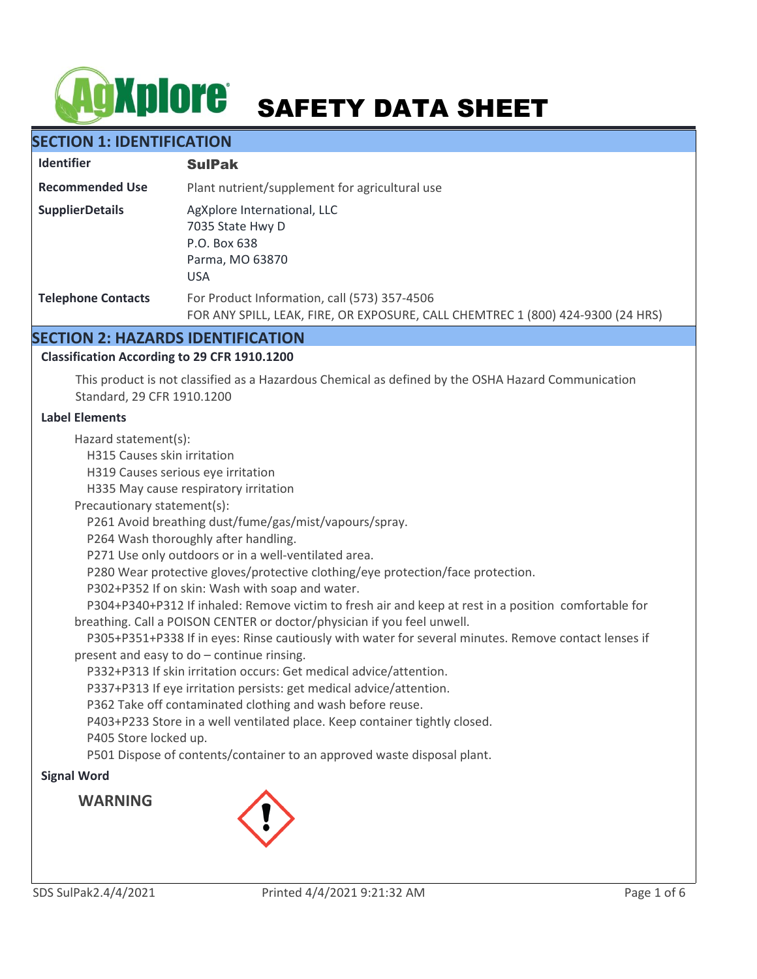# **AgXplore** SAFETY DATA SHEET

# **SECTION 1: IDENTIFICATION**

| <b>Identifier</b>         | <b>SulPak</b>                                                                                                                   |  |
|---------------------------|---------------------------------------------------------------------------------------------------------------------------------|--|
| <b>Recommended Use</b>    | Plant nutrient/supplement for agricultural use                                                                                  |  |
| <b>SupplierDetails</b>    | AgXplore International, LLC<br>7035 State Hwy D<br>P.O. Box 638<br>Parma, MO 63870<br><b>USA</b>                                |  |
| <b>Telephone Contacts</b> | For Product Information, call (573) 357-4506<br>FOR ANY SPILL, LEAK, FIRE, OR EXPOSURE, CALL CHEMTREC 1 (800) 424-9300 (24 HRS) |  |

# **SECTION 2: HAZARDS IDENTIFICATION**

# **Classification According to 29 CFR 1910.1200**

This product is not classified as a Hazardous Chemical as defined by the OSHA Hazard Communication Standard, 29 CFR 1910.1200

## **Label Elements**

Hazard statement(s):

H315 Causes skin irritation

H319 Causes serious eye irritation

H335 May cause respiratory irritation

Precautionary statement(s):

P261 Avoid breathing dust/fume/gas/mist/vapours/spray.

P264 Wash thoroughly after handling.

P271 Use only outdoors or in a well-ventilated area.

P280 Wear protective gloves/protective clothing/eye protection/face protection.

P302+P352 If on skin: Wash with soap and water.

 P304+P340+P312 If inhaled: Remove victim to fresh air and keep at rest in a position comfortable for breathing. Call a POISON CENTER or doctor/physician if you feel unwell.

 P305+P351+P338 If in eyes: Rinse cautiously with water for several minutes. Remove contact lenses if present and easy to do – continue rinsing.

P332+P313 If skin irritation occurs: Get medical advice/attention.

P337+P313 If eye irritation persists: get medical advice/attention.

P362 Take off contaminated clothing and wash before reuse.

P403+P233 Store in a well ventilated place. Keep container tightly closed.

P405 Store locked up.

P501 Dispose of contents/container to an approved waste disposal plant.

# **Signal Word**

**WARNING**

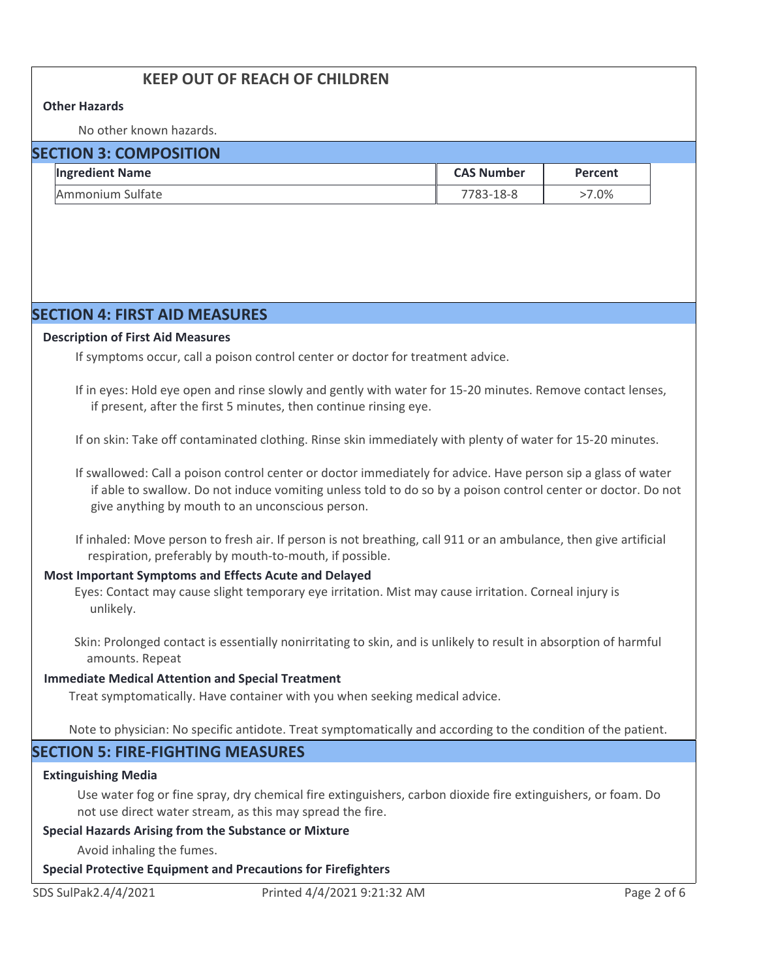# **KEEP OUT OF REACH OF CHILDREN**

#### **Other Hazards**

No other known hazards.

| <b>SECTION 3: COMPOSITION</b> |                        |                   |         |  |  |
|-------------------------------|------------------------|-------------------|---------|--|--|
|                               | <b>Ingredient Name</b> | <b>CAS Number</b> | Percent |  |  |
|                               | Ammonium Sulfate       | 7783-18-8         | >7.0%   |  |  |

# **SECTION 4: FIRST AID MEASURES**

#### **Description of First Aid Measures**

If symptoms occur, call a poison control center or doctor for treatment advice.

If in eyes: Hold eye open and rinse slowly and gently with water for 15-20 minutes. Remove contact lenses, if present, after the first 5 minutes, then continue rinsing eye.

If on skin: Take off contaminated clothing. Rinse skin immediately with plenty of water for 15-20 minutes.

If swallowed: Call a poison control center or doctor immediately for advice. Have person sip a glass of water if able to swallow. Do not induce vomiting unless told to do so by a poison control center or doctor. Do not give anything by mouth to an unconscious person.

If inhaled: Move person to fresh air. If person is not breathing, call 911 or an ambulance, then give artificial respiration, preferably by mouth-to-mouth, if possible.

## **Most Important Symptoms and Effects Acute and Delayed**

Eyes: Contact may cause slight temporary eye irritation. Mist may cause irritation. Corneal injury is unlikely.

Skin: Prolonged contact is essentially nonirritating to skin, and is unlikely to result in absorption of harmful amounts. Repeat

#### **Immediate Medical Attention and Special Treatment**

Treat symptomatically. Have container with you when seeking medical advice.

Note to physician: No specific antidote. Treat symptomatically and according to the condition of the patient.

# **SECTION 5: FIRE-FIGHTING MEASURES**

## **Extinguishing Media**

Use water fog or fine spray, dry chemical fire extinguishers, carbon dioxide fire extinguishers, or foam. Do not use direct water stream, as this may spread the fire.

#### **Special Hazards Arising from the Substance or Mixture**

Avoid inhaling the fumes.

#### **Special Protective Equipment and Precautions for Firefighters**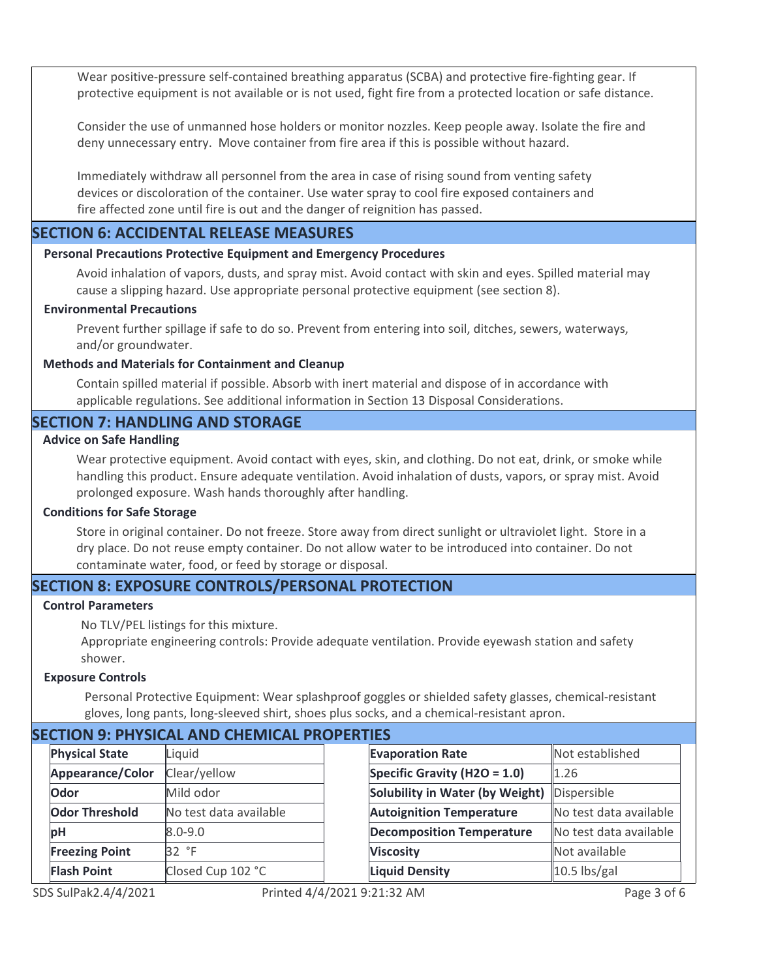Wear positive-pressure self-contained breathing apparatus (SCBA) and protective fire-fighting gear. If protective equipment is not available or is not used, fight fire from a protected location or safe distance.

Consider the use of unmanned hose holders or monitor nozzles. Keep people away. Isolate the fire and deny unnecessary entry. Move container from fire area if this is possible without hazard.

Immediately withdraw all personnel from the area in case of rising sound from venting safety devices or discoloration of the container. Use water spray to cool fire exposed containers and fire affected zone until fire is out and the danger of reignition has passed.

# **SECTION 6: ACCIDENTAL RELEASE MEASURES**

## **Personal Precautions Protective Equipment and Emergency Procedures**

Avoid inhalation of vapors, dusts, and spray mist. Avoid contact with skin and eyes. Spilled material may cause a slipping hazard. Use appropriate personal protective equipment (see section 8).

## **Environmental Precautions**

Prevent further spillage if safe to do so. Prevent from entering into soil, ditches, sewers, waterways, and/or groundwater.

## **Methods and Materials for Containment and Cleanup**

Contain spilled material if possible. Absorb with inert material and dispose of in accordance with applicable regulations. See additional information in Section 13 Disposal Considerations.

# **SECTION 7: HANDLING AND STORAGE**

## **Advice on Safe Handling**

Wear protective equipment. Avoid contact with eyes, skin, and clothing. Do not eat, drink, or smoke while handling this product. Ensure adequate ventilation. Avoid inhalation of dusts, vapors, or spray mist. Avoid prolonged exposure. Wash hands thoroughly after handling.

#### **Conditions for Safe Storage**

Store in original container. Do not freeze. Store away from direct sunlight or ultraviolet light. Store in a dry place. Do not reuse empty container. Do not allow water to be introduced into container. Do not contaminate water, food, or feed by storage or disposal.

# **SECTION 8: EXPOSURE CONTROLS/PERSONAL PROTECTION**

#### **Control Parameters**

No TLV/PEL listings for this mixture.

Appropriate engineering controls: Provide adequate ventilation. Provide eyewash station and safety shower.

#### **Exposure Controls**

Personal Protective Equipment: Wear splashproof goggles or shielded safety glasses, chemical-resistant gloves, long pants, long-sleeved shirt, shoes plus socks, and a chemical-resistant apron.

# **SECTION 9: PHYSICAL AND CHEMICAL PROPERTIES**

| <b>Physical State</b> | Liquid                 | <b>Evaporation Rate</b>          | Not established        |
|-----------------------|------------------------|----------------------------------|------------------------|
| Appearance/Color      | Clear/yellow           | Specific Gravity (H2O = $1.0$ )  | 1.26                   |
| Odor                  | Mild odor              | Solubility in Water (by Weight)  | Dispersible            |
| <b>Odor Threshold</b> | No test data available | <b>Autoignition Temperature</b>  | No test data available |
| рH                    | $8.0 - 9.0$            | <b>Decomposition Temperature</b> | No test data available |
| <b>Freezing Point</b> | 32 °F                  | <b>Viscosity</b>                 | Not available          |
| <b>Flash Point</b>    | Closed Cup 102 °C      | <b>Liquid Density</b>            | $10.5$ lbs/gal         |
|                       |                        |                                  |                        |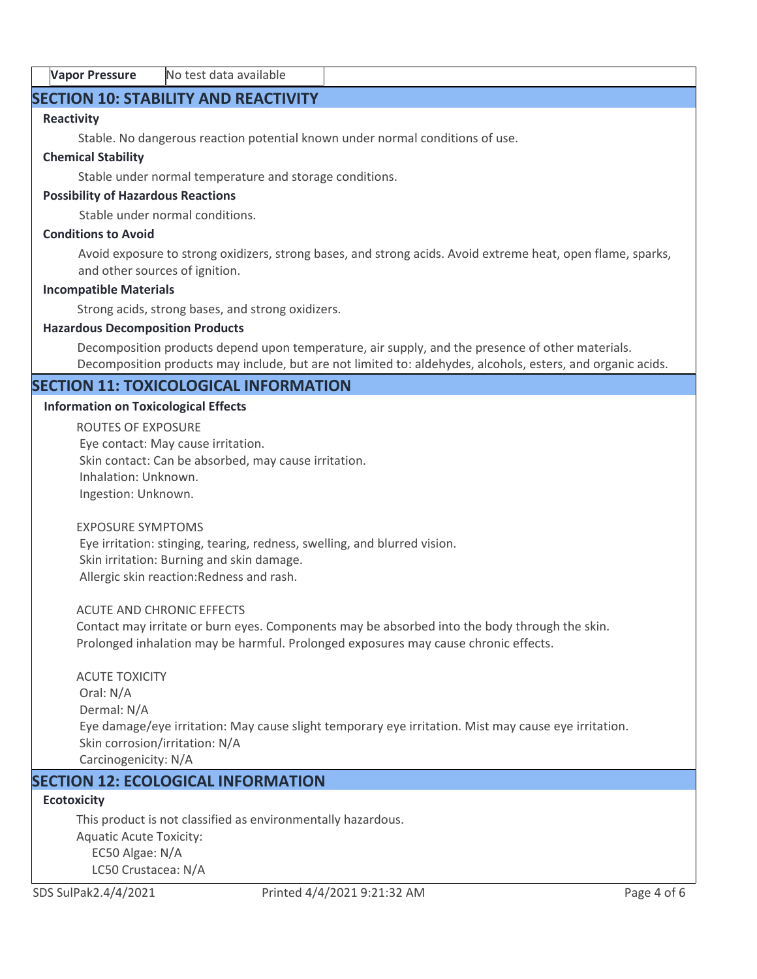# **SECTION 10: STABILITY AND REACTIVITY**

## **Reactivity**

Stable. No dangerous reaction potential known under normal conditions of use.

## **Chemical Stability**

Stable under normal temperature and storage conditions.

## **Possibility of Hazardous Reactions**

Stable under normal conditions.

## **Conditions to Avoid**

Avoid exposure to strong oxidizers, strong bases, and strong acids. Avoid extreme heat, open flame, sparks, and other sources of ignition.

#### **Incompatible Materials**

Strong acids, strong bases, and strong oxidizers.

## **Hazardous Decomposition Products**

Decomposition products depend upon temperature, air supply, and the presence of other materials. Decomposition products may include, but are not limited to: aldehydes, alcohols, esters, and organic acids.

# **SECTION 11: TOXICOLOGICAL INFORMATION**

## **Information on Toxicological Effects**

ROUTES OF EXPOSURE Eye contact: May cause irritation. Skin contact: Can be absorbed, may cause irritation. Inhalation: Unknown. Ingestion: Unknown.

#### EXPOSURE SYMPTOMS

 Eye irritation: stinging, tearing, redness, swelling, and blurred vision. Skin irritation: Burning and skin damage. Allergic skin reaction:Redness and rash.

## ACUTE AND CHRONIC EFFECTS

Contact may irritate or burn eyes. Components may be absorbed into the body through the skin. Prolonged inhalation may be harmful. Prolonged exposures may cause chronic effects.

# ACUTE TOXICITY Oral: N/A Dermal: N/A Eye damage/eye irritation: May cause slight temporary eye irritation. Mist may cause eye irritation. Skin corrosion/irritation: N/A Carcinogenicity: N/A

# **SECTION 12: ECOLOGICAL INFORMATION**

# **Ecotoxicity**

This product is not classified as environmentally hazardous. Aquatic Acute Toxicity: EC50 Algae: N/A LC50 Crustacea: N/A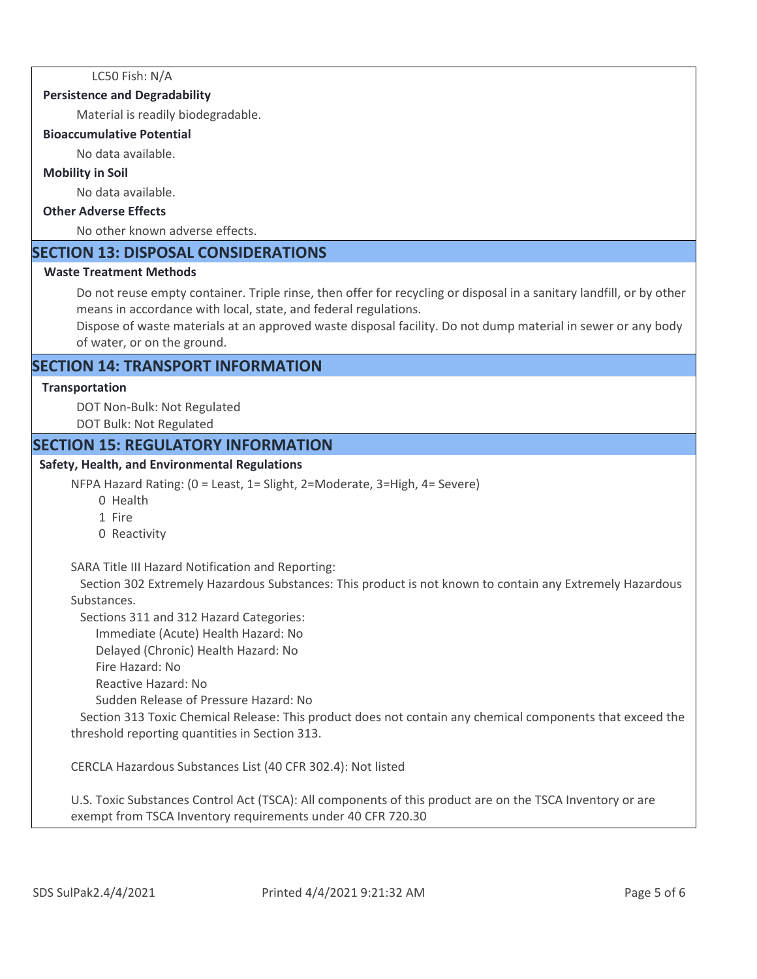LC50 Fish: N/A

#### **Persistence and Degradability**

Material is readily biodegradable.

#### **Bioaccumulative Potential**

No data available.

## **Mobility in Soil**

No data available.

## **Other Adverse Effects**

No other known adverse effects.

# **SECTION 13: DISPOSAL CONSIDERATIONS**

#### **Waste Treatment Methods**

Do not reuse empty container. Triple rinse, then offer for recycling or disposal in a sanitary landfill, or by other means in accordance with local, state, and federal regulations.

Dispose of waste materials at an approved waste disposal facility. Do not dump material in sewer or any body of water, or on the ground.

# **SECTION 14: TRANSPORT INFORMATION**

#### **Transportation**

DOT Non-Bulk: Not Regulated DOT Bulk: Not Regulated

# **SECTION 15: REGULATORY INFORMATION**

## **Safety, Health, and Environmental Regulations**

NFPA Hazard Rating: (0 = Least, 1= Slight, 2=Moderate, 3=High, 4= Severe)

- 0 Health
- 1 Fire
- 0 Reactivity

SARA Title III Hazard Notification and Reporting:

 Section 302 Extremely Hazardous Substances: This product is not known to contain any Extremely Hazardous Substances.

Sections 311 and 312 Hazard Categories:

Immediate (Acute) Health Hazard: No

Delayed (Chronic) Health Hazard: No

Fire Hazard: No

Reactive Hazard: No

Sudden Release of Pressure Hazard: No

 Section 313 Toxic Chemical Release: This product does not contain any chemical components that exceed the threshold reporting quantities in Section 313.

CERCLA Hazardous Substances List (40 CFR 302.4): Not listed

U.S. Toxic Substances Control Act (TSCA): All components of this product are on the TSCA Inventory or are exempt from TSCA Inventory requirements under 40 CFR 720.30